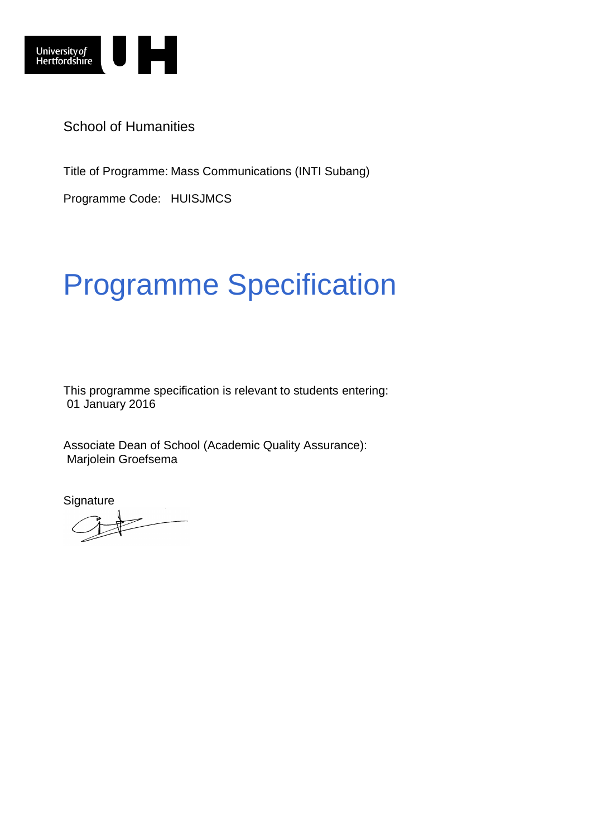

School of Humanities

Title of Programme: Mass Communications (INTI Subang)

Programme Code: HUISJMCS

# Programme Specification

This programme specification is relevant to students entering: 01 January 2016

Associate Dean of School (Academic Quality Assurance): Marjolein Groefsema

**Signature**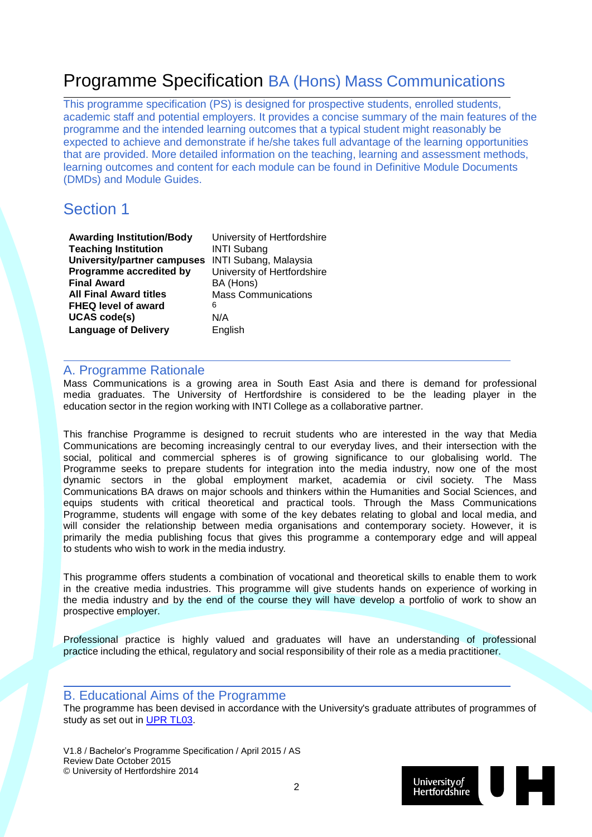## Programme Specification BA (Hons) Mass Communications

This programme specification (PS) is designed for prospective students, enrolled students, academic staff and potential employers. It provides a concise summary of the main features of the programme and the intended learning outcomes that a typical student might reasonably be expected to achieve and demonstrate if he/she takes full advantage of the learning opportunities that are provided. More detailed information on the teaching, learning and assessment methods, learning outcomes and content for each module can be found in Definitive Module Documents (DMDs) and Module Guides.

## Section 1

**Awarding Institution/Body** University of Hertfordshire **Teaching Institution MINTI Subang University/partner campuses** INTI Subang, Malaysia **Programme accredited by** University of Hertfordshire **Final Award BA (Hons)**<br>**All Final Award titles** Mass Com **FHEQ level of award** 6 **UCAS code(s)** N/A **Language of Delivery** English

**Mass Communications** 

#### A. Programme Rationale

Mass Communications is a growing area in South East Asia and there is demand for professional media graduates. The University of Hertfordshire is considered to be the leading player in the education sector in the region working with INTI College as a collaborative partner.

This franchise Programme is designed to recruit students who are interested in the way that Media Communications are becoming increasingly central to our everyday lives, and their intersection with the social, political and commercial spheres is of growing significance to our globalising world. The Programme seeks to prepare students for integration into the media industry, now one of the most dynamic sectors in the global employment market, academia or civil society. The Mass Communications BA draws on major schools and thinkers within the Humanities and Social Sciences, and equips students with critical theoretical and practical tools. Through the Mass Communications Programme, students will engage with some of the key debates relating to global and local media, and will consider the relationship between media organisations and contemporary society. However, it is primarily the media publishing focus that gives this programme a contemporary edge and will appeal to students who wish to work in the media industry.

This programme offers students a combination of vocational and theoretical skills to enable them to work in the creative media industries. This programme will give students hands on experience of working in the media industry and by the end of the course they will have develop a portfolio of work to show an prospective employer.

Professional practice is highly valued and graduates will have an understanding of professional practice including the ethical, regulatory and social responsibility of their role as a media practitioner.

#### B. Educational Aims of the Programme

The programme has been devised in accordance with the University's graduate attributes of programmes of study as set out in [UPR TL03.](http://sitem.herts.ac.uk/secreg/upr/TL03.htm)

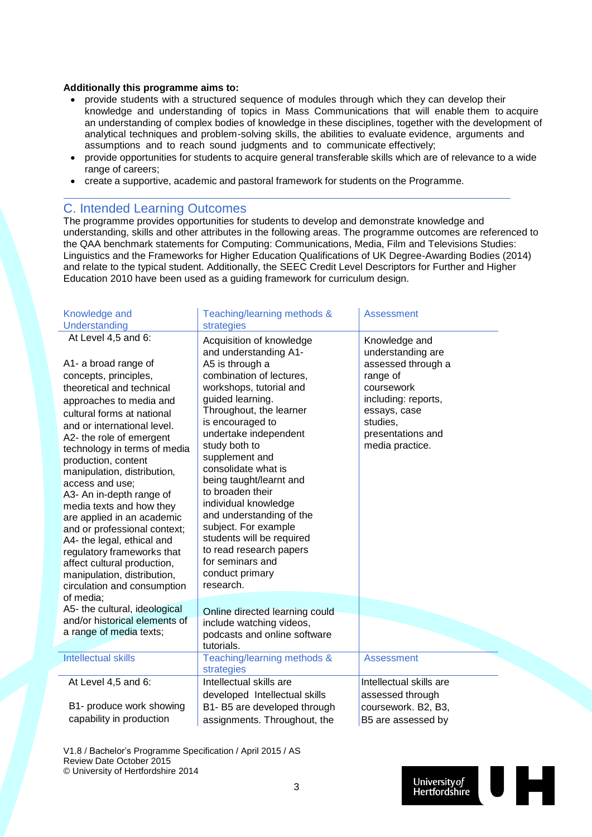#### **Additionally this programme aims to:**

- provide students with a structured sequence of modules through which they can develop their knowledge and understanding of topics in Mass Communications that will enable them to acquire an understanding of complex bodies of knowledge in these disciplines, together with the development of analytical techniques and problem-solving skills, the abilities to evaluate evidence, arguments and assumptions and to reach sound judgments and to communicate effectively;
- provide opportunities for students to acquire general transferable skills which are of relevance to a wide range of careers;
- create a supportive, academic and pastoral framework for students on the Programme.

#### C. Intended Learning Outcomes

The programme provides opportunities for students to develop and demonstrate knowledge and understanding, skills and other attributes in the following areas. The programme outcomes are referenced to the QAA benchmark statements for Computing: Communications, Media, Film and Televisions Studies: Linguistics and the Frameworks for Higher Education Qualifications of UK Degree-Awarding Bodies (2014) and relate to the typical student. Additionally, the SEEC Credit Level Descriptors for Further and Higher Education 2010 have been used as a guiding framework for curriculum design.

| Knowledge and                                                                                                                                                                                                                                                                                                                                                                                                                                                                                                                                                                                                                  | Teaching/learning methods &                                                                                                                                                                                                                                                                                                                                                                                                                                                                                                            | <b>Assessment</b>                                                                                                                                                             |
|--------------------------------------------------------------------------------------------------------------------------------------------------------------------------------------------------------------------------------------------------------------------------------------------------------------------------------------------------------------------------------------------------------------------------------------------------------------------------------------------------------------------------------------------------------------------------------------------------------------------------------|----------------------------------------------------------------------------------------------------------------------------------------------------------------------------------------------------------------------------------------------------------------------------------------------------------------------------------------------------------------------------------------------------------------------------------------------------------------------------------------------------------------------------------------|-------------------------------------------------------------------------------------------------------------------------------------------------------------------------------|
| Understanding<br>At Level 4,5 and 6:<br>A1- a broad range of<br>concepts, principles,<br>theoretical and technical<br>approaches to media and<br>cultural forms at national<br>and or international level.<br>A2- the role of emergent<br>technology in terms of media<br>production, content<br>manipulation, distribution,<br>access and use:<br>A3- An in-depth range of<br>media texts and how they<br>are applied in an academic<br>and or professional context;<br>A4- the legal, ethical and<br>regulatory frameworks that<br>affect cultural production,<br>manipulation, distribution,<br>circulation and consumption | strategies<br>Acquisition of knowledge<br>and understanding A1-<br>A5 is through a<br>combination of lectures,<br>workshops, tutorial and<br>guided learning.<br>Throughout, the learner<br>is encouraged to<br>undertake independent<br>study both to<br>supplement and<br>consolidate what is<br>being taught/learnt and<br>to broaden their<br>individual knowledge<br>and understanding of the<br>subject. For example<br>students will be required<br>to read research papers<br>for seminars and<br>conduct primary<br>research. | Knowledge and<br>understanding are<br>assessed through a<br>range of<br>coursework<br>including: reports,<br>essays, case<br>studies,<br>presentations and<br>media practice. |
| of media;<br>A5- the cultural, ideological<br>and/or historical elements of<br>a range of media texts;                                                                                                                                                                                                                                                                                                                                                                                                                                                                                                                         | Online directed learning could<br>include watching videos,<br>podcasts and online software<br>tutorials.                                                                                                                                                                                                                                                                                                                                                                                                                               |                                                                                                                                                                               |
| <b>Intellectual skills</b>                                                                                                                                                                                                                                                                                                                                                                                                                                                                                                                                                                                                     | Teaching/learning methods &<br>strategies                                                                                                                                                                                                                                                                                                                                                                                                                                                                                              | <b>Assessment</b>                                                                                                                                                             |
| At Level 4,5 and 6:                                                                                                                                                                                                                                                                                                                                                                                                                                                                                                                                                                                                            | Intellectual skills are<br>developed Intellectual skills                                                                                                                                                                                                                                                                                                                                                                                                                                                                               | Intellectual skills are<br>assessed through                                                                                                                                   |
| B1- produce work showing                                                                                                                                                                                                                                                                                                                                                                                                                                                                                                                                                                                                       | B1- B5 are developed through                                                                                                                                                                                                                                                                                                                                                                                                                                                                                                           | coursework. B2, B3,                                                                                                                                                           |
| capability in production                                                                                                                                                                                                                                                                                                                                                                                                                                                                                                                                                                                                       | assignments. Throughout, the                                                                                                                                                                                                                                                                                                                                                                                                                                                                                                           | B5 are assessed by                                                                                                                                                            |

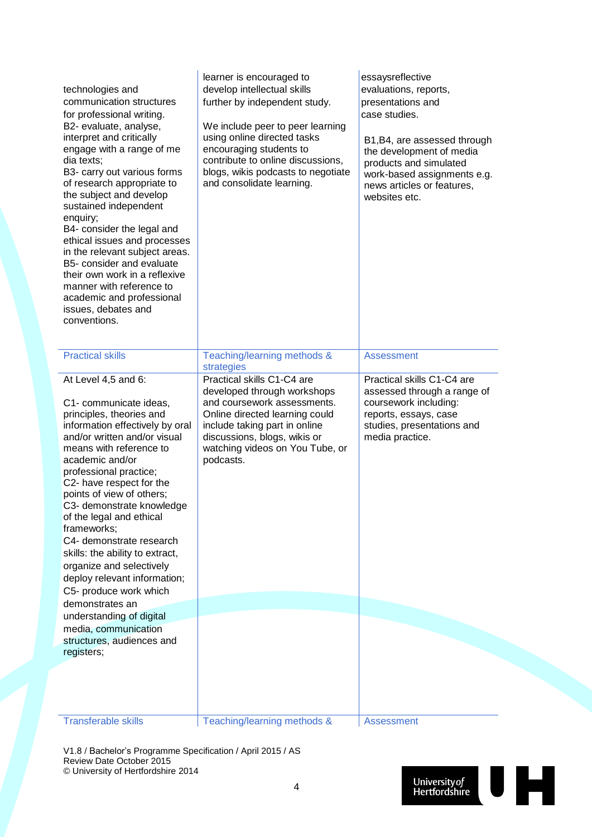| technologies and<br>communication structures<br>for professional writing.<br>B2- evaluate, analyse,<br>interpret and critically<br>engage with a range of me<br>dia texts;<br>B3- carry out various forms<br>of research appropriate to<br>the subject and develop<br>sustained independent<br>enquiry;<br>B4- consider the legal and<br>ethical issues and processes<br>in the relevant subject areas.<br>B5- consider and evaluate<br>their own work in a reflexive<br>manner with reference to<br>academic and professional<br>issues, debates and<br>conventions. | learner is encouraged to<br>develop intellectual skills<br>further by independent study.<br>We include peer to peer learning<br>using online directed tasks<br>encouraging students to<br>contribute to online discussions,<br>blogs, wikis podcasts to negotiate<br>and consolidate learning. | essaysreflective<br>evaluations, reports,<br>presentations and<br>case studies.<br>B1, B4, are assessed through<br>the development of media<br>products and simulated<br>work-based assignments e.g.<br>news articles or features,<br>websites etc. |
|-----------------------------------------------------------------------------------------------------------------------------------------------------------------------------------------------------------------------------------------------------------------------------------------------------------------------------------------------------------------------------------------------------------------------------------------------------------------------------------------------------------------------------------------------------------------------|------------------------------------------------------------------------------------------------------------------------------------------------------------------------------------------------------------------------------------------------------------------------------------------------|-----------------------------------------------------------------------------------------------------------------------------------------------------------------------------------------------------------------------------------------------------|
| <b>Practical skills</b>                                                                                                                                                                                                                                                                                                                                                                                                                                                                                                                                               | Teaching/learning methods &<br>strategies                                                                                                                                                                                                                                                      | <b>Assessment</b>                                                                                                                                                                                                                                   |
| At Level 4,5 and 6:<br>C1- communicate ideas,<br>principles, theories and<br>information effectively by oral<br>and/or written and/or visual<br>means with reference to<br>academic and/or<br>professional practice;<br>C2- have respect for the<br>points of view of others;<br>C3- demonstrate knowledge<br>of the legal and ethical<br>frameworks;<br>C4- demonstrate research<br>skills: the ability to extract,<br>organize and selectively<br>deploy relevant information;<br>C5- produce work which<br>demonstrates an                                         | Practical skills C1-C4 are<br>developed through workshops<br>and coursework assessments.<br>Online directed learning could<br>include taking part in online<br>discussions, blogs, wikis or<br>watching videos on You Tube, or<br>podcasts.                                                    | Practical skills C1-C4 are<br>assessed through a range of<br>coursework including:<br>reports, essays, case<br>studies, presentations and<br>media practice.                                                                                        |
| understanding of digital                                                                                                                                                                                                                                                                                                                                                                                                                                                                                                                                              |                                                                                                                                                                                                                                                                                                |                                                                                                                                                                                                                                                     |
| media, communication<br>structures, audiences and                                                                                                                                                                                                                                                                                                                                                                                                                                                                                                                     |                                                                                                                                                                                                                                                                                                |                                                                                                                                                                                                                                                     |
| registers;<br><b>Transferable skills</b>                                                                                                                                                                                                                                                                                                                                                                                                                                                                                                                              | Teaching/learning methods &                                                                                                                                                                                                                                                                    | <b>Assessment</b>                                                                                                                                                                                                                                   |
|                                                                                                                                                                                                                                                                                                                                                                                                                                                                                                                                                                       |                                                                                                                                                                                                                                                                                                |                                                                                                                                                                                                                                                     |

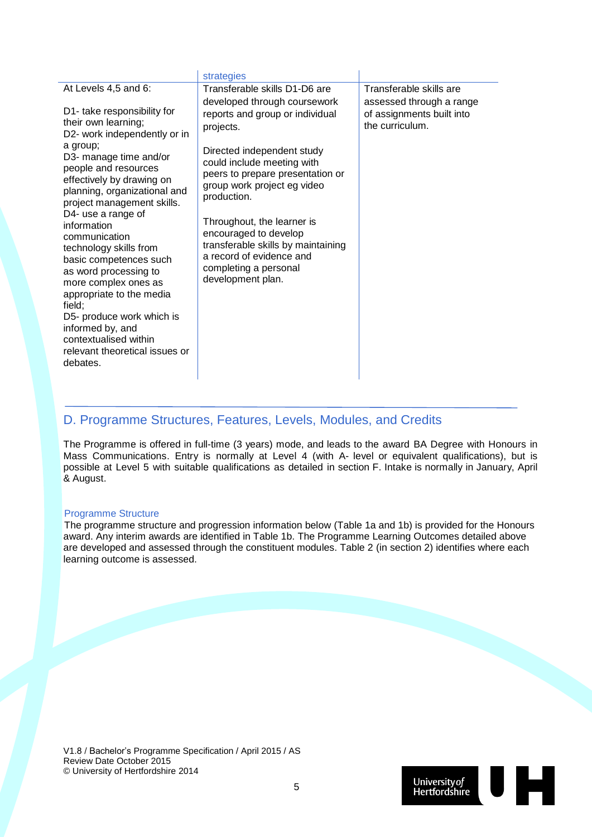|                                                                                                                                                                                                                                                                                                                                                                                                                                                                                | strategies                                                                                                                                                                                                                                                                                                        |                                                                          |
|--------------------------------------------------------------------------------------------------------------------------------------------------------------------------------------------------------------------------------------------------------------------------------------------------------------------------------------------------------------------------------------------------------------------------------------------------------------------------------|-------------------------------------------------------------------------------------------------------------------------------------------------------------------------------------------------------------------------------------------------------------------------------------------------------------------|--------------------------------------------------------------------------|
| At Levels 4,5 and 6:                                                                                                                                                                                                                                                                                                                                                                                                                                                           | Transferable skills D1-D6 are                                                                                                                                                                                                                                                                                     | Transferable skills are                                                  |
| D1- take responsibility for<br>their own learning;<br>D2- work independently or in                                                                                                                                                                                                                                                                                                                                                                                             | developed through coursework<br>reports and group or individual<br>projects.                                                                                                                                                                                                                                      | assessed through a range<br>of assignments built into<br>the curriculum. |
| a group;<br>D3- manage time and/or<br>people and resources<br>effectively by drawing on<br>planning, organizational and<br>project management skills.<br>D4- use a range of<br>information<br>communication<br>technology skills from<br>basic competences such<br>as word processing to<br>more complex ones as<br>appropriate to the media<br>field;<br>D5- produce work which is<br>informed by, and<br>contextualised within<br>relevant theoretical issues or<br>debates. | Directed independent study<br>could include meeting with<br>peers to prepare presentation or<br>group work project eg video<br>production.<br>Throughout, the learner is<br>encouraged to develop<br>transferable skills by maintaining<br>a record of evidence and<br>completing a personal<br>development plan. |                                                                          |

#### D. Programme Structures, Features, Levels, Modules, and Credits

The Programme is offered in full-time (3 years) mode, and leads to the award BA Degree with Honours in Mass Communications. Entry is normally at Level 4 (with A- level or equivalent qualifications), but is possible at Level 5 with suitable qualifications as detailed in section F. Intake is normally in January, April & August.

#### Programme Structure

The programme structure and progression information below (Table 1a and 1b) is provided for the Honours award. Any interim awards are identified in Table 1b. The Programme Learning Outcomes detailed above are developed and assessed through the constituent modules. Table 2 (in section 2) identifies where each learning outcome is assessed.

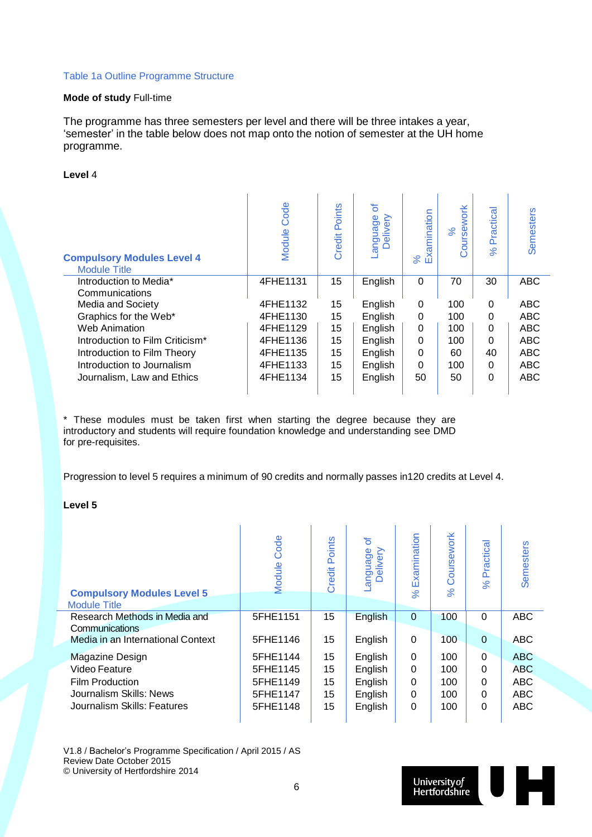#### Table 1a Outline Programme Structure

#### **Mode of study** Full-time

The programme has three semesters per level and there will be three intakes a year, 'semester' in the table below does not map onto the notion of semester at the UH home programme.

#### **Level** 4

| <b>Compulsory Modules Level 4</b><br><b>Module Title</b> | Code<br>Module | Points<br>Credit | ð<br>Language<br>Delivery | Examination<br>$\aleph$ | oursework<br>8 <sup>o</sup> | Practical<br>$\aleph$ | Semesters  |
|----------------------------------------------------------|----------------|------------------|---------------------------|-------------------------|-----------------------------|-----------------------|------------|
| Introduction to Media*                                   | 4FHE1131       | 15               | English                   | $\Omega$                | 70                          | 30                    | <b>ABC</b> |
| Communications                                           |                |                  |                           |                         |                             |                       |            |
| Media and Society                                        | 4FHE1132       | 15               | English                   | 0                       | 100                         | 0                     | <b>ABC</b> |
| Graphics for the Web*                                    | 4FHE1130       | 15               | English                   | 0                       | 100                         | $\Omega$              | ABC        |
| <b>Web Animation</b>                                     | 4FHE1129       | 15               | English                   | 0                       | 100                         | $\Omega$              | ABC        |
| Introduction to Film Criticism*                          | 4FHE1136       | 15               | English                   | $\Omega$                | 100                         | $\Omega$              | ABC        |
| Introduction to Film Theory                              | 4FHE1135       | 15               | English                   | 0                       | 60                          | 40                    | ABC        |
| Introduction to Journalism                               | 4FHE1133       | 15               | English                   | 0                       | 100                         | $\Omega$              | ABC        |
| Journalism, Law and Ethics                               | 4FHE1134       | 15               | English                   | 50                      | 50                          | $\Omega$              | ABC        |

\* These modules must be taken first when starting the degree because they are introductory and students will require foundation knowledge and understanding see DMD for pre-requisites.

Progression to level 5 requires a minimum of 90 credits and normally passes in120 credits at Level 4.

#### **Level 5**

| <b>Compulsory Modules Level 5</b><br><b>Module Title</b> | Code<br>Module | Points<br>Credit | ৳<br>anguage<br>Delivery | Examination<br>$\aleph$ | Coursework<br>$\aleph$ | Practical<br>$\aleph$ | Semesters  |
|----------------------------------------------------------|----------------|------------------|--------------------------|-------------------------|------------------------|-----------------------|------------|
| Research Methods in Media and                            | 5FHE1151       | 15               | English                  | $\Omega$                | 100                    | $\Omega$              | <b>ABC</b> |
| Communications                                           |                |                  |                          |                         |                        |                       |            |
| Media in an International Context                        | 5FHE1146       | 15               | English                  | $\Omega$                | 100                    | $\Omega$              | <b>ABC</b> |
| <b>Magazine Design</b>                                   | 5FHE1144       | 15               | English                  | $\Omega$                | 100                    | $\Omega$              | <b>ABC</b> |
| Video Feature                                            | 5FHE1145       | 15               | English                  | 0                       | 100                    | $\Omega$              | <b>ABC</b> |
| <b>Film Production</b>                                   | 5FHE1149       | 15               | English                  | $\Omega$                | 100                    | $\Omega$              | <b>ABC</b> |
| Journalism Skills: News                                  | 5FHE1147       | 15               | English                  | $\Omega$                | 100                    | $\Omega$              | <b>ABC</b> |
| Journalism Skills: Features                              | 5FHE1148       | 15               | English                  | $\Omega$                | 100                    | $\Omega$              | <b>ABC</b> |
|                                                          |                |                  |                          |                         |                        |                       |            |

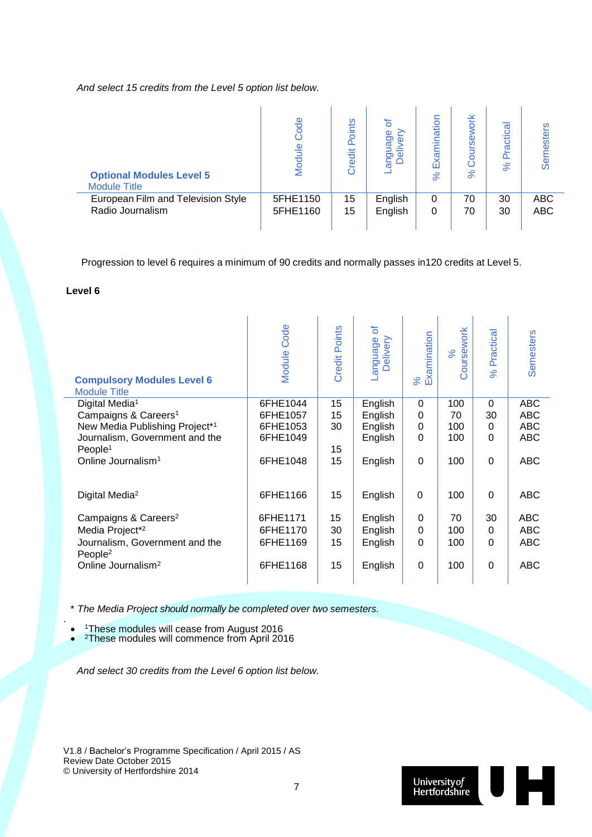*And select 15 credits from the Level 5 option list below.*

| <b>Optional Modules Level 5</b><br><b>Module Title</b> | ode<br>Module | oints<br>$\Omega$<br>redit<br>$\circ$ | ৳<br>ouage<br>$\epsilon$<br>$\Omega$<br>ā | nination<br>Exa<br>ಸಿ | oursework<br>Ö<br>$\aleph$ | ractica<br>ൎ<br>$\aleph$ | esters<br>Serr |
|--------------------------------------------------------|---------------|---------------------------------------|-------------------------------------------|-----------------------|----------------------------|--------------------------|----------------|
| European Film and Television Style                     | 5FHE1150      | 15                                    | English                                   | 0                     | 70                         | 30                       | <b>ABC</b>     |
| Radio Journalism                                       | 5FHE1160      | 15                                    | English                                   | 0                     | 70                         | 30                       | <b>ABC</b>     |

Progression to level 6 requires a minimum of 90 credits and normally passes in120 credits at Level 5.

#### **Level 6**

.

| <b>Module Code</b> | <b>Credit Points</b> | ð<br>Language<br>Delivery | Examination<br>%   | Coursework<br>$\aleph$ | Practical<br>$\aleph$ | <b>Semesters</b> |
|--------------------|----------------------|---------------------------|--------------------|------------------------|-----------------------|------------------|
| 6FHE1044           | 15                   | English                   | $\overline{0}$     | 100                    | $\overline{0}$        | <b>ABC</b>       |
| 6FHE1057           | 15                   | English                   | $\Omega$           | 70                     | 30                    | <b>ABC</b>       |
| 6FHE1053           | 30                   | English                   | 0                  | 100                    | 0                     | <b>ABC</b>       |
| 6FHE1049           |                      | English                   | 0                  | 100                    | $\Omega$              | <b>ABC</b>       |
|                    | 15                   |                           |                    |                        |                       |                  |
| 6FHE1048           | 15                   | English                   | $\Omega$           | 100                    | $\overline{0}$        | <b>ABC</b>       |
| 6FHE1166           | 15                   | English                   | $\Omega$           | 100                    | $\Omega$              | <b>ABC</b>       |
| 6FHE1171           | 15                   |                           | $\Omega$           | 70                     | 30                    | <b>ABC</b>       |
|                    |                      |                           |                    |                        | $\Omega$              | <b>ABC</b>       |
| 6FHE1169           | 15                   | English                   | $\Omega$           | 100                    | $\Omega$              | <b>ABC</b>       |
| 6FHE1168           | 15                   | English                   | $\Omega$           | 100                    | $\overline{0}$        | <b>ABC</b>       |
|                    | 6FHE1170             | 30                        | English<br>English | 0                      | 100                   |                  |

\* *The Media Project should normally be completed over two semesters.*

 $\bullet$ <sup>1</sup>These modules will cease from August 2016

 $\bullet$ <sup>2</sup>These modules will commence from April 2016

*And select 30 credits from the Level 6 option list below.*

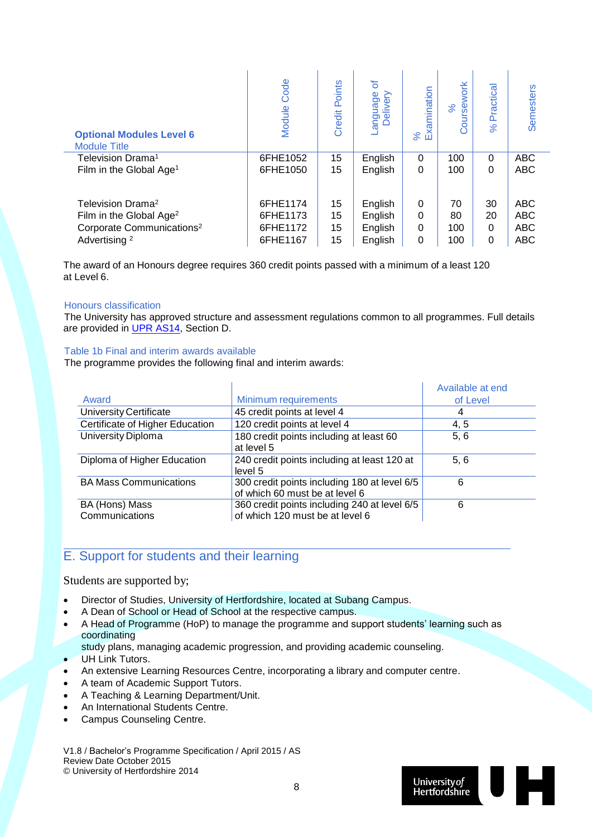| <b>Optional Modules Level 6</b><br><b>Module Title</b>                                                                                    | Code<br>Module                               | Points<br>Credit     | ৳<br>appugua-<br>Delivery                | Examination<br>% | work<br><b>iss</b><br>$\aleph$<br>ă | Practical<br>$\aleph$            | Semesters                                            |
|-------------------------------------------------------------------------------------------------------------------------------------------|----------------------------------------------|----------------------|------------------------------------------|------------------|-------------------------------------|----------------------------------|------------------------------------------------------|
| Television Drama <sup>1</sup>                                                                                                             | 6FHE1052                                     | 15                   | English                                  | $\Omega$         | 100                                 | $\Omega$                         | <b>ABC</b>                                           |
| Film in the Global Age <sup>1</sup>                                                                                                       | 6FHE1050                                     | 15                   | English                                  | $\Omega$         | 100                                 | $\Omega$                         | <b>ABC</b>                                           |
| Television Drama <sup>2</sup><br>Film in the Global Age <sup>2</sup><br>Corporate Communications <sup>2</sup><br>Advertising <sup>2</sup> | 6FHE1174<br>6FHE1173<br>6FHE1172<br>6FHE1167 | 15<br>15<br>15<br>15 | English<br>English<br>English<br>English | 0<br>0<br>0<br>0 | 70<br>80<br>100<br>100              | 30<br>20<br>$\Omega$<br>$\Omega$ | <b>ABC</b><br><b>ABC</b><br><b>ABC</b><br><b>ABC</b> |

The award of an Honours degree requires 360 credit points passed with a minimum of a least 120 at Level 6.

#### Honours classification

The University has approved structure and assessment regulations common to all programmes. Full details are provided in [UPR AS14,](http://sitem.herts.ac.uk/secreg/upr/pdf/AS14-Structure%20and%20Assessment%20Regs%20-%20Undergrad%20and%20Taught%20Postgrad%20Programmes-v04%200.pdf) Section D.

#### Table 1b Final and interim awards available

The programme provides the following final and interim awards:

|                                  |                                                                                 | Available at end |
|----------------------------------|---------------------------------------------------------------------------------|------------------|
| Award                            | Minimum requirements                                                            | of Level         |
| University Certificate           | 45 credit points at level 4                                                     | 4                |
| Certificate of Higher Education  | 120 credit points at level 4                                                    | 4,5              |
| University Diploma               | 180 credit points including at least 60<br>at level 5                           | 5.6              |
| Diploma of Higher Education      | 240 credit points including at least 120 at<br>level 5                          | 5.6              |
| <b>BA Mass Communications</b>    | 300 credit points including 180 at level 6/5<br>of which 60 must be at level 6  | 6                |
| BA (Hons) Mass<br>Communications | 360 credit points including 240 at level 6/5<br>of which 120 must be at level 6 | 6                |

### E. Support for students and their learning

#### Students are supported by;

- Director of Studies, University of Hertfordshire, located at Subang Campus.
- A Dean of School or Head of School at the respective campus.
- A Head of Programme (HoP) to manage the programme and support students' learning such as coordinating
	- study plans, managing academic progression, and providing academic counseling.
- UH Link Tutors.
- An extensive Learning Resources Centre, incorporating a library and computer centre.
- A team of Academic Support Tutors.
- A Teaching & Learning Department/Unit.
- An International Students Centre.
- Campus Counseling Centre.

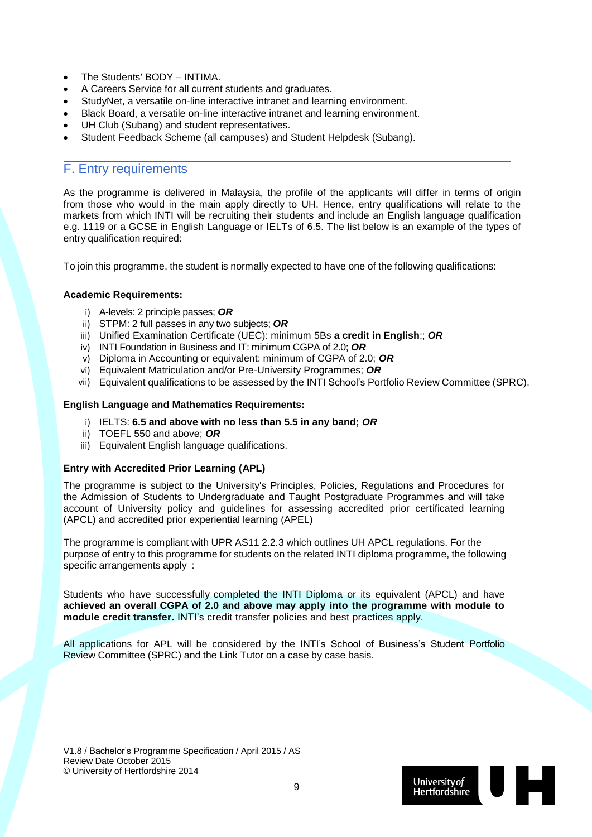- The Students' BODY INTIMA.
- A Careers Service for all current students and graduates.
- StudyNet, a versatile on-line interactive intranet and learning environment.
- Black Board, a versatile on-line interactive intranet and learning environment.
- UH Club (Subang) and student representatives.
- Student Feedback Scheme (all campuses) and Student Helpdesk (Subang).

#### F. Entry requirements

As the programme is delivered in Malaysia, the profile of the applicants will differ in terms of origin from those who would in the main apply directly to UH. Hence, entry qualifications will relate to the markets from which INTI will be recruiting their students and include an English language qualification e.g. 1119 or a GCSE in English Language or IELTs of 6.5. The list below is an example of the types of entry qualification required:

To join this programme, the student is normally expected to have one of the following qualifications:

#### **Academic Requirements:**

- i) A-levels: 2 principle passes; *OR*
- ii) STPM: 2 full passes in any two subjects; *OR*
- iii) Unified Examination Certificate (UEC): minimum 5Bs **a credit in English**;; *OR*
- iv) INTI Foundation in Business and IT: minimum CGPA of 2.0; *OR*
- v) Diploma in Accounting or equivalent: minimum of CGPA of 2.0; *OR*
- vi) Equivalent Matriculation and/or Pre-University Programmes; *OR*
- vii) Equivalent qualifications to be assessed by the INTI School's Portfolio Review Committee (SPRC).

#### **English Language and Mathematics Requirements:**

- i) IELTS: **6.5 and above with no less than 5.5 in any band;** *OR*
- ii) TOEFL 550 and above; *OR*
- iii) Equivalent English language qualifications.

#### **Entry with Accredited Prior Learning (APL)**

The programme is subject to the University's Principles, Policies, Regulations and Procedures for the Admission of Students to Undergraduate and Taught Postgraduate Programmes and will take account of University policy and guidelines for assessing accredited prior certificated learning (APCL) and accredited prior experiential learning (APEL)

The programme is compliant with UPR AS11 2.2.3 which outlines UH APCL regulations. For the purpose of entry to this programme for students on the related INTI diploma programme, the following specific arrangements apply :

Students who have successfully completed the INTI Diploma or its equivalent (APCL) and have **achieved an overall CGPA of 2.0 and above may apply into the programme with module to module credit transfer.** INTI's credit transfer policies and best practices apply.

All applications for APL will be considered by the INTI's School of Business's Student Portfolio Review Committee (SPRC) and the Link Tutor on a case by case basis.

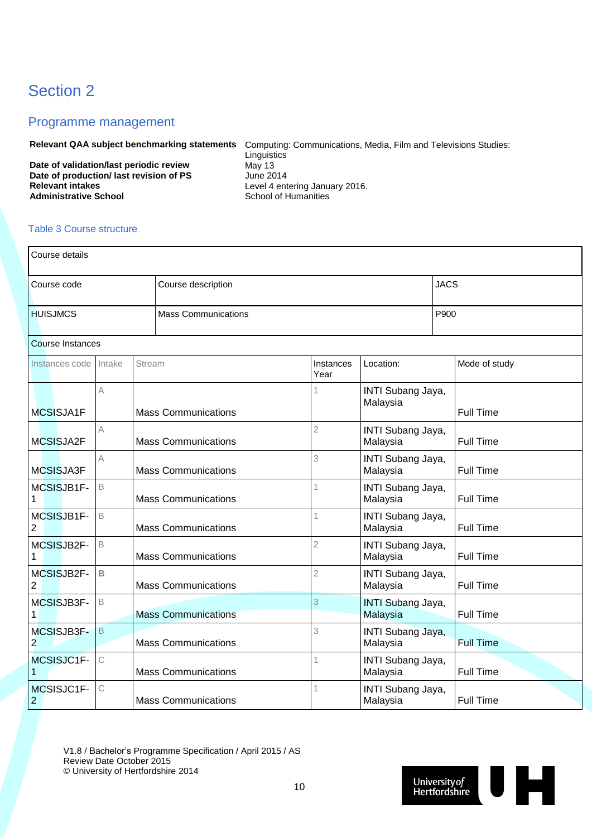# Section 2

#### Programme management

**Relevant QAA subject benchmarking statements** Computing: Communications, Media, Film and Televisions Studies: Linguistics<br>May 13 **Date of validation/last periodic review May 13**<br> **Date of production/last revision of PS** June 2014

Date of production/ last revision of PS<br>Relevant intakes **Relevant intakes**<br> **Administrative School**<br> **Administrative School**<br> **Administrative School** 

**School of Humanities** 

#### Table 3 Course structure

| Course details               |              |               |                            |                   |                                      |             |                  |  |
|------------------------------|--------------|---------------|----------------------------|-------------------|--------------------------------------|-------------|------------------|--|
| Course code                  |              |               | Course description         |                   |                                      | <b>JACS</b> |                  |  |
| <b>HUISJMCS</b>              |              |               | <b>Mass Communications</b> |                   |                                      | P900        |                  |  |
| <b>Course Instances</b>      |              |               |                            |                   |                                      |             |                  |  |
| Instances code               | Intake       | <b>Stream</b> |                            | Instances<br>Year | Location:                            |             | Mode of study    |  |
| MCSISJA1F                    | Α            |               | <b>Mass Communications</b> |                   | INTI Subang Jaya,<br>Malaysia        |             | <b>Full Time</b> |  |
| MCSISJA2F                    | Α            |               | <b>Mass Communications</b> | $\overline{2}$    | INTI Subang Jaya,<br>Malaysia        |             | <b>Full Time</b> |  |
| MCSISJA3F                    | A            |               | <b>Mass Communications</b> | 3                 | INTI Subang Jaya,<br>Malaysia        |             | <b>Full Time</b> |  |
| MCSISJB1F-                   | $\mathsf B$  |               | <b>Mass Communications</b> |                   | INTI Subang Jaya,<br>Malaysia        |             | <b>Full Time</b> |  |
| MCSISJB1F-<br>$\overline{2}$ | B            |               | <b>Mass Communications</b> | 1                 | INTI Subang Jaya,<br>Malaysia        |             | <b>Full Time</b> |  |
| MCSISJB2F-<br>1              | B            |               | <b>Mass Communications</b> | $\overline{2}$    | INTI Subang Jaya,<br>Malaysia        |             | <b>Full Time</b> |  |
| MCSISJB2F-<br>$\overline{2}$ | $\mathsf B$  |               | <b>Mass Communications</b> | $\overline{2}$    | INTI Subang Jaya,<br>Malaysia        |             | <b>Full Time</b> |  |
| MCSISJB3F-                   | B            |               | <b>Mass Communications</b> | 3                 | <b>INTI Subang Jaya,</b><br>Malaysia |             | <b>Full Time</b> |  |
| MCSISJB3F-<br>$\overline{2}$ | B            |               | <b>Mass Communications</b> | 3                 | INTI Subang Jaya,<br>Malaysia        |             | <b>Full Time</b> |  |
| MCSISJC1F-                   | $\mathsf{C}$ |               | <b>Mass Communications</b> |                   | INTI Subang Jaya,<br>Malaysia        |             | <b>Full Time</b> |  |
| MCSISJC1F-<br>$\overline{2}$ | С            |               | <b>Mass Communications</b> | 1                 | INTI Subang Jaya,<br>Malaysia        |             | <b>Full Time</b> |  |

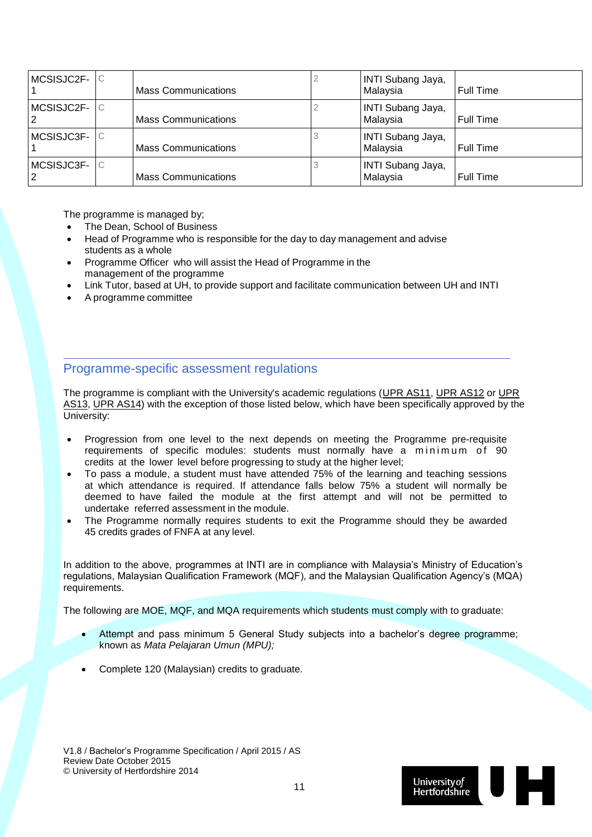| MCSISJC2F-      | C | <b>Mass Communications</b> | <b>INTI Subang Jaya,</b><br>Malaysia | <b>Full Time</b> |
|-----------------|---|----------------------------|--------------------------------------|------------------|
| MCSISJC2F-      | С | <b>Mass Communications</b> | INTI Subang Jaya,<br>Malaysia        | <b>Full Time</b> |
| MCSISJC3F-      | С | <b>Mass Communications</b> | <b>INTI Subang Jaya,</b><br>Malaysia | <b>Full Time</b> |
| MCSISJC3F-<br>2 | С | <b>Mass Communications</b> | INTI Subang Jaya,<br>Malaysia        | <b>Full Time</b> |

The programme is managed by;

- The Dean, School of Business
- Head of Programme who is responsible for the day to day management and advise students as a whole
- Programme Officer who will assist the Head of Programme in the management of the programme
- Link Tutor, based at UH, to provide support and facilitate communication between UH and INTI
- A programme committee

#### Programme-specific assessment regulations

The programme is compliant with the University's academic regulations [\(UPR AS11,](http://sitem.herts.ac.uk/secreg/upr/AS11.htm) [UPR AS12](http://sitem.herts.ac.uk/secreg/upr/AS12.htm) or [UPR](http://sitem.herts.ac.uk/secreg/upr/AS13.htm)  [AS13,](http://sitem.herts.ac.uk/secreg/upr/AS13.htm) [UPR AS14\)](http://sitem.herts.ac.uk/secreg/upr/AS14.htm) with the exception of those listed below, which have been specifically approved by the University:

- Progression from one level to the next depends on meeting the Programme pre-requisite requirements of specific modules: students must normally have a minimum of  $90$ credits at the lower level before progressing to study at the higher level;
- To pass a module, a student must have attended 75% of the learning and teaching sessions at which attendance is required. If attendance falls below 75% a student will normally be deemed to have failed the module at the first attempt and will not be permitted to undertake referred assessment in the module.
- The Programme normally requires students to exit the Programme should they be awarded 45 credits grades of FNFA at any level.

In addition to the above, programmes at INTI are in compliance with Malaysia's Ministry of Education's regulations, Malaysian Qualification Framework (MQF), and the Malaysian Qualification Agency's (MQA) requirements.

The following are MOE, MQF, and MQA requirements which students must comply with to graduate:

- Attempt and pass minimum 5 General Study subjects into a bachelor's degree programme; known as *Mata Pelajaran Umun (MPU);*
- Complete 120 (Malaysian) credits to graduate.

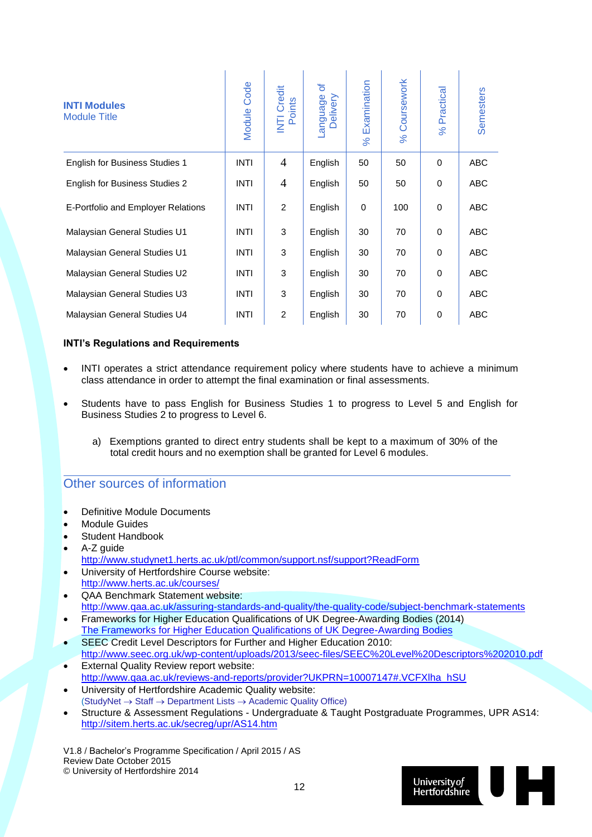| <b>INTI Modules</b><br><b>Module Title</b> | Code<br>Module | Credit<br>Points<br>$\overline{\overline{\mathsf{z}}}$ | đ<br>-anguage<br>Delivery | Examination<br>$\aleph$ | Coursework<br>$\aleph$ | Practical<br>$\aleph$ | Semesters  |
|--------------------------------------------|----------------|--------------------------------------------------------|---------------------------|-------------------------|------------------------|-----------------------|------------|
| <b>English for Business Studies 1</b>      | <b>INTI</b>    | $\overline{4}$                                         | English                   | 50                      | 50                     | $\Omega$              | ABC        |
| <b>English for Business Studies 2</b>      | <b>INTI</b>    | 4                                                      | English                   | 50                      | 50                     | $\Omega$              | <b>ABC</b> |
| E-Portfolio and Employer Relations         | <b>INTI</b>    | 2                                                      | English                   | 0                       | 100                    | 0                     | <b>ABC</b> |
| Malaysian General Studies U1               | <b>INTI</b>    | 3                                                      | English                   | 30                      | 70                     | $\Omega$              | <b>ABC</b> |
| Malaysian General Studies U1               | <b>INTI</b>    | 3                                                      | English                   | 30                      | 70                     | $\Omega$              | <b>ABC</b> |
| Malaysian General Studies U2               | <b>INTI</b>    | 3                                                      | English                   | 30                      | 70                     | $\Omega$              | <b>ABC</b> |
| Malaysian General Studies U3               | <b>INTI</b>    | 3                                                      | English                   | 30                      | 70                     | $\Omega$              | <b>ABC</b> |
| Malaysian General Studies U4               | <b>INTI</b>    | $\overline{2}$                                         | English                   | 30                      | 70                     | 0                     | <b>ABC</b> |

 $\mathbf{r}$ 

#### **INTI's Regulations and Requirements**

- INTI operates a strict attendance requirement policy where students have to achieve a minimum class attendance in order to attempt the final examination or final assessments.
- Students have to pass English for Business Studies 1 to progress to Level 5 and English for Business Studies 2 to progress to Level 6.
	- a) Exemptions granted to direct entry students shall be kept to a maximum of 30% of the total credit hours and no exemption shall be granted for Level 6 modules.

#### Other sources of information

- Definitive Module Documents
- Module Guides
- Student Handbook
- A-Z guide <http://www.studynet1.herts.ac.uk/ptl/common/support.nsf/support?ReadForm> University of Hertfordshire Course website:
- <http://www.herts.ac.uk/courses/>
- QAA Benchmark Statement website: <http://www.qaa.ac.uk/assuring-standards-and-quality/the-quality-code/subject-benchmark-statements>
- Frameworks for Higher Education Qualifications of UK Degree-Awarding Bodies (2014) [The Frameworks for Higher Education Qualifications of UK Degree-Awarding Bodies](http://www.qaa.ac.uk/publications/information-and-guidance/publication?PubID=2843#.VT8b6ZNH50F)
- SEEC Credit Level Descriptors for Further and Higher Education 2010: <http://www.seec.org.uk/wp-content/uploads/2013/seec-files/SEEC%20Level%20Descriptors%202010.pdf>
- External Quality Review report website: [http://www.qaa.ac.uk/reviews-and-reports/provider?UKPRN=10007147#.VCFXlha\\_hSU](http://www.qaa.ac.uk/reviews-and-reports/provider?UKPRN=10007147#.VCFXlha_hSU)
- University of Hertfordshire Academic Quality website:  $(StudyNet \rightarrow Staff \rightarrow Department Lists \rightarrow Academic Quality Office)$
- Structure & Assessment Regulations Undergraduate & Taught Postgraduate Programmes, UPR AS14: <http://sitem.herts.ac.uk/secreg/upr/AS14.htm>

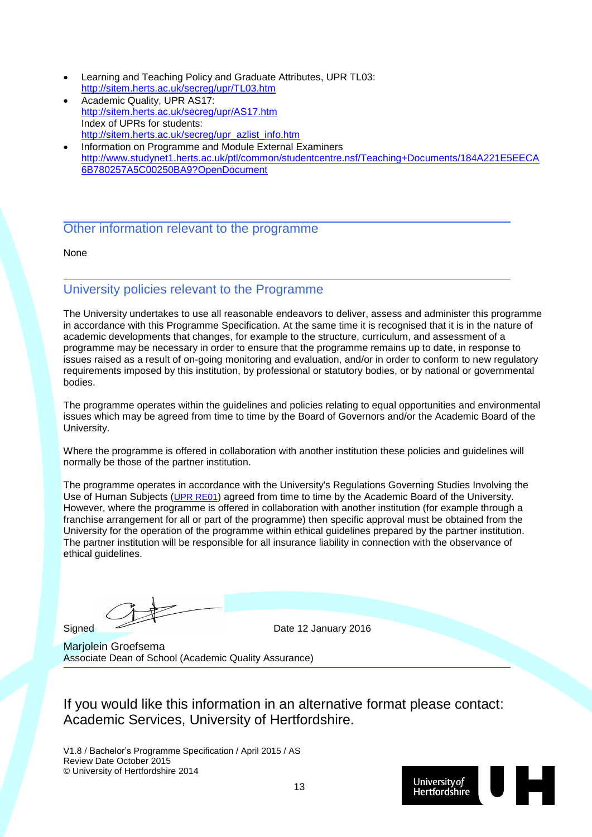- Learning and Teaching Policy and Graduate Attributes, UPR TL03: <http://sitem.herts.ac.uk/secreg/upr/TL03.htm>
- Academic Quality, UPR AS17: <http://sitem.herts.ac.uk/secreg/upr/AS17.htm> Index of UPRs for students: [http://sitem.herts.ac.uk/secreg/upr\\_azlist\\_info.htm](http://sitem.herts.ac.uk/secreg/upr_azlist_info.htm)
- Information on Programme and Module External Examiners [http://www.studynet1.herts.ac.uk/ptl/common/studentcentre.nsf/Teaching+Documents/184A221E5EECA](http://www.studynet1.herts.ac.uk/ptl/common/studentcentre.nsf/Teaching+Documents/184A221E5EECA6B780257A5C00250BA9?OpenDocument) [6B780257A5C00250BA9?OpenDocument](http://www.studynet1.herts.ac.uk/ptl/common/studentcentre.nsf/Teaching+Documents/184A221E5EECA6B780257A5C00250BA9?OpenDocument)

#### Other information relevant to the programme

None

### University policies relevant to the Programme

The University undertakes to use all reasonable endeavors to deliver, assess and administer this programme in accordance with this Programme Specification. At the same time it is recognised that it is in the nature of academic developments that changes, for example to the structure, curriculum, and assessment of a programme may be necessary in order to ensure that the programme remains up to date, in response to issues raised as a result of on-going monitoring and evaluation, and/or in order to conform to new regulatory requirements imposed by this institution, by professional or statutory bodies, or by national or governmental bodies.

The programme operates within the guidelines and policies relating to equal opportunities and environmental issues which may be agreed from time to time by the Board of Governors and/or the Academic Board of the University.

Where the programme is offered in collaboration with another institution these policies and guidelines will normally be those of the partner institution.

The programme operates in accordance with the University's Regulations Governing Studies Involving the Use of Human Subjects ([UPR RE01](http://sitem.herts.ac.uk/secreg/upr/RE01.htm)) agreed from time to time by the Academic Board of the University. However, where the programme is offered in collaboration with another institution (for example through a franchise arrangement for all or part of the programme) then specific approval must be obtained from the University for the operation of the programme within ethical guidelines prepared by the partner institution. The partner institution will be responsible for all insurance liability in connection with the observance of ethical guidelines.

Signed Date 12 January 2016

Marjolein Groefsema Associate Dean of School (Academic Quality Assurance)

If you would like this information in an alternative format please contact: Academic Services, University of Hertfordshire.

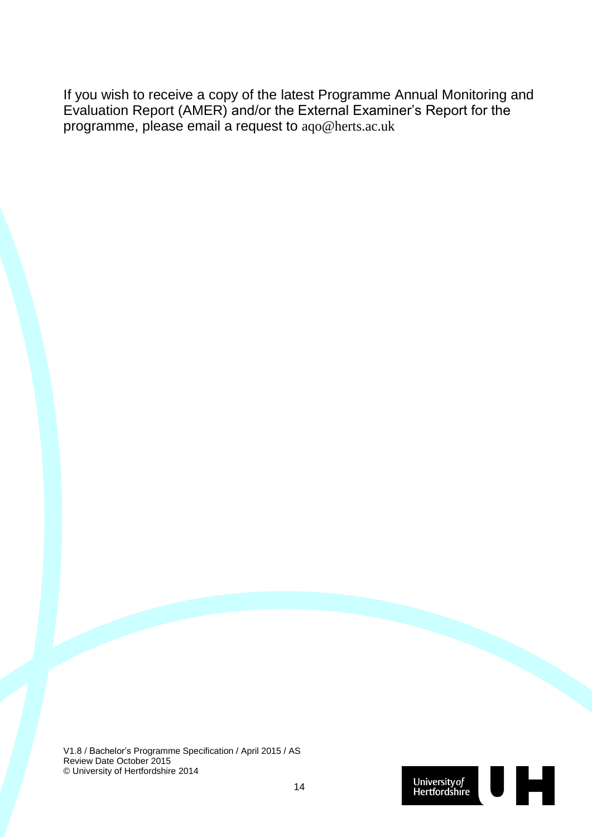If you wish to receive a copy of the latest Programme Annual Monitoring and Evaluation Report (AMER) and/or the External Examiner's Report for the programme, please email a request to aqo@herts.ac.uk

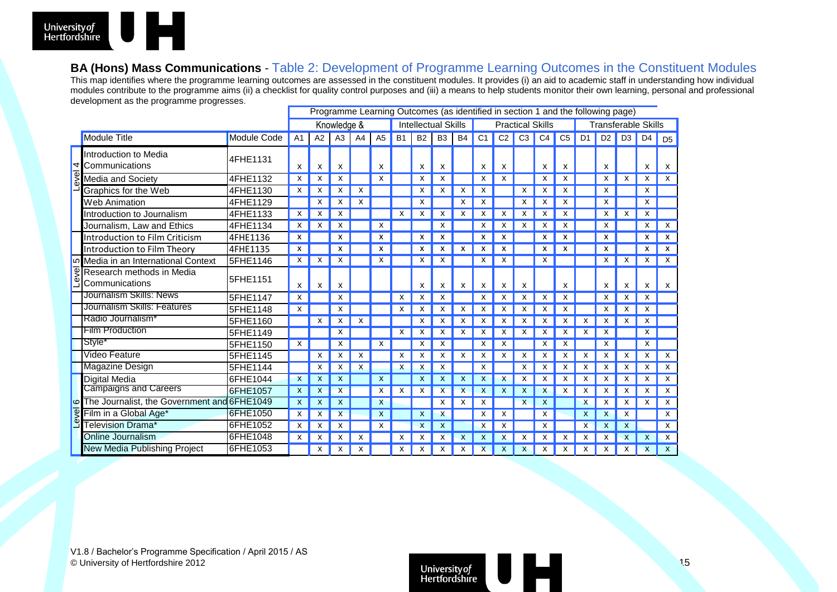

#### **BA (Hons) Mass Communications** - Table 2: Development of Programme Learning Outcomes in the Constituent Modules

This map identifies where the programme learning outcomes are assessed in the constituent modules. It provides (i) an aid to academic staff in understanding how individual modules contribute to the programme aims (ii) a checklist for quality control purposes and (iii) a means to help students monitor their own learning, personal and professional development as the programme progresses.

|                     |                                                                  |             | Programme Learning Outcomes (as identified in section 1 and the following page) |             |                         |    |                |           |                            |                |              |                |                           |                |                |                |                |                     |                |                |                           |  |
|---------------------|------------------------------------------------------------------|-------------|---------------------------------------------------------------------------------|-------------|-------------------------|----|----------------|-----------|----------------------------|----------------|--------------|----------------|---------------------------|----------------|----------------|----------------|----------------|---------------------|----------------|----------------|---------------------------|--|
|                     |                                                                  |             |                                                                                 | Knowledge & |                         |    |                |           | <b>Intellectual Skills</b> |                |              |                | <b>Practical Skills</b>   |                |                |                |                | Transferable Skills |                |                |                           |  |
|                     | <b>Module Title</b>                                              | Module Code | A <sub>1</sub>                                                                  | A2          | A <sub>3</sub>          | A4 | A <sub>5</sub> | <b>B1</b> | <b>B2</b>                  | B <sub>3</sub> | <b>B4</b>    | C <sub>1</sub> | C <sub>2</sub>            | C <sub>3</sub> | C <sub>4</sub> | C <sub>5</sub> | D <sub>1</sub> | D <sub>2</sub>      | D <sub>3</sub> | D <sub>4</sub> | D <sub>5</sub>            |  |
| Ю<br>ंड<br>ق<br>ا   | Introduction to Media<br>$\overline{\mathcal{A}}$ Communications | 4FHE1131    | X                                                                               | x           | x                       |    | x              |           | x                          | x              |              |                | X                         |                | x              | x              |                | X                   |                | X              | X                         |  |
|                     | Media and Society                                                | 4FHE1132    | X                                                                               |             |                         |    | x              |           | x                          | x              |              | х              |                           |                | X              | x              |                | X                   | х              | X              | $\mathsf{X}$              |  |
|                     | Graphics for the Web                                             | 4FHE1130    | х                                                                               |             |                         |    |                |           |                            |                |              |                |                           |                |                |                |                | x                   |                | X              |                           |  |
|                     | <b>Web Animation</b>                                             | 4FHE1129    |                                                                                 |             |                         |    |                |           |                            |                |              |                |                           |                |                |                |                | x                   |                | x              |                           |  |
|                     | Introduction to Journalism                                       | 4FHE1133    | x                                                                               |             |                         |    |                |           |                            |                |              |                |                           |                |                |                |                | x                   |                | x              |                           |  |
|                     | Journalism, Law and Ethics                                       | 4FHE1134    | x                                                                               |             |                         |    |                |           |                            |                |              |                |                           |                |                |                |                | x                   |                |                | x                         |  |
|                     | Introduction to Film Criticism                                   | 4FHE1136    | x                                                                               |             |                         |    | x              |           |                            |                |              |                |                           |                |                |                |                | x                   |                |                | x                         |  |
|                     | Introduction to Film Theory                                      | 4FHE1135    | X                                                                               |             |                         |    |                |           |                            |                |              |                |                           |                | x              |                |                | x                   |                |                | x                         |  |
|                     | Media in an International Context                                | 5FHE1146    | х                                                                               |             |                         |    | X              |           |                            |                |              |                |                           |                | x              |                |                | x                   |                | х              | X                         |  |
|                     | Research methods in Media<br>Communications                      | 5FHE1151    | X                                                                               | х           | х                       |    |                |           | x                          | x              | х            | x              | x                         | x              |                | x              |                | x                   | x              | x              | X                         |  |
|                     | Journalism Skills: News                                          | 5FHE1147    | x                                                                               |             | x                       |    |                |           | x                          | x              |              | x              |                           | x              | x              | x              |                | x                   |                | х              |                           |  |
|                     | Journalism Skills: Features                                      | 5FHE1148    | X                                                                               |             |                         |    |                | x         | х                          | x              | x            | х              |                           | х              | x              |                |                | x                   |                | x              |                           |  |
|                     | Radio Journalism <sup>*</sup>                                    | 5FHE1160    |                                                                                 |             | x                       |    |                |           |                            |                | x            |                |                           |                |                |                |                |                     |                | x              |                           |  |
|                     | Film Production                                                  | 5FHE1149    |                                                                                 |             | x                       |    |                |           | х                          | x              | х            | x              | x                         | х              | x              | х              |                | х                   |                | x              |                           |  |
|                     | Style*                                                           | 5FHE1150    | X                                                                               |             |                         |    | х              |           | х                          | x              |              |                |                           |                | x              | х              |                | x                   |                | x              |                           |  |
|                     | Video Feature                                                    | 5FHE1145    |                                                                                 | х           | x                       | x  |                | x         | х                          | х              | х            | х              | х                         | x              | x              | х              |                | х                   |                | х              | $\boldsymbol{\mathsf{x}}$ |  |
| $\overline{9}$<br>ق | <b>Magazine Design</b>                                           | 5FHE1144    |                                                                                 |             |                         |    |                |           | X                          | x              |              |                |                           | x              | x              | х              |                | х                   |                | X              | X                         |  |
|                     | <b>Digital Media</b>                                             | 6FHE1044    | X                                                                               |             | x                       |    | x              |           | X                          | x              | X            | x              |                           | x              | x              | х              | x              | х                   | х              | x              | X                         |  |
|                     | <b>Campaigns and Careers</b>                                     | 6FHE1057    | X                                                                               |             |                         |    | x              |           |                            | $\mathsf{x}$   | $\mathsf{x}$ |                |                           | x              |                |                |                | x                   |                |                | $\boldsymbol{\mathsf{x}}$ |  |
|                     | o The Journalist, the Government and 6FHE1049                    |             | $\mathsf{x}$                                                                    |             | x                       |    | X              |           |                            | x              | X            | х              |                           | $\mathsf{x}$   | х              |                | X              | x                   | x              | x              | $\boldsymbol{\mathsf{x}}$ |  |
|                     | Film in a Global Age*                                            | 6FHE1050    | х                                                                               |             | $\overline{\mathsf{x}}$ |    | X              |           | x                          | x              |              | х              | x                         |                |                |                |                | x                   |                |                | X                         |  |
|                     | Television Drama*                                                | 6FHE1052    | X                                                                               |             | x                       |    | x              |           | X                          | X              |              | x              | х                         |                | X              |                | X              | X                   |                |                | X                         |  |
|                     | Online Journalism                                                | 6FHE1048    | х                                                                               |             |                         |    |                |           |                            | x              |              |                |                           |                |                |                |                | x                   |                |                | X                         |  |
|                     | New Media Publishing Project                                     | 6FHE1053    |                                                                                 | x           | x                       | x  |                | x         | x                          | x              | X            | $\mathsf{x}$   | $\boldsymbol{\mathsf{x}}$ | $\mathsf{x}$   | x              | x              | x              | X                   | X              | $\mathsf{x}$   | $\mathsf{x}$              |  |

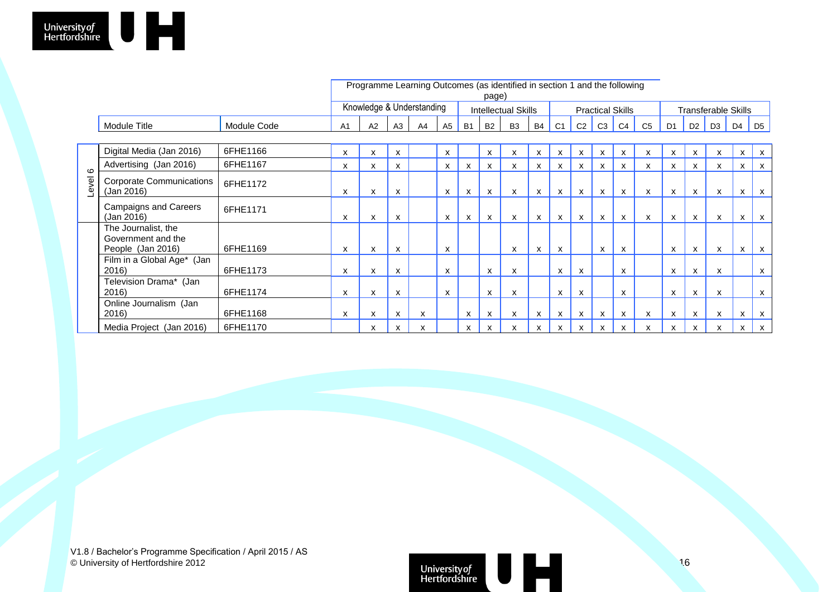|                  |                                                                |             | Programme Learning Outcomes (as identified in section 1 and the following<br>page) |    |                |                |                           |                |                           |                            |                         |                           |                           |                |                           |                            |                |                           |                |                           |                           |
|------------------|----------------------------------------------------------------|-------------|------------------------------------------------------------------------------------|----|----------------|----------------|---------------------------|----------------|---------------------------|----------------------------|-------------------------|---------------------------|---------------------------|----------------|---------------------------|----------------------------|----------------|---------------------------|----------------|---------------------------|---------------------------|
|                  |                                                                |             | Knowledge & Understanding                                                          |    |                |                |                           |                |                           | <b>Intellectual Skills</b> | <b>Practical Skills</b> |                           |                           |                |                           | <b>Transferable Skills</b> |                |                           |                |                           |                           |
|                  | Module Title                                                   | Module Code | A <sub>1</sub>                                                                     | A2 | A <sub>3</sub> | A <sub>4</sub> | A <sub>5</sub>            | B <sub>1</sub> | <b>B2</b>                 | B <sub>3</sub>             | <b>B4</b>               | C <sub>1</sub>            | C <sub>2</sub>            | C <sub>3</sub> | C <sub>4</sub>            | C <sub>5</sub>             | D <sub>1</sub> | D2                        | D <sub>3</sub> | D <sub>4</sub>            | D <sub>5</sub>            |
|                  |                                                                |             |                                                                                    |    |                |                |                           |                |                           |                            |                         |                           |                           |                |                           |                            |                |                           |                |                           |                           |
| $\circ$<br>Level | Digital Media (Jan 2016)                                       | 6FHE1166    | X                                                                                  | x  | X              |                | X                         |                | x                         | x                          | x                       | X                         | X                         | x              | X                         | X                          | X              | $\boldsymbol{\mathsf{x}}$ | x              | $\boldsymbol{\mathsf{x}}$ | X                         |
|                  | Advertising (Jan 2016)                                         | 6FHE1167    | х                                                                                  | х  | X              |                | x                         | x              | $\boldsymbol{\mathsf{x}}$ | x                          | x                       | x                         | x                         | x              | х                         | x                          | x              | x                         | х              | X                         | X                         |
|                  | <b>Corporate Communications</b><br>(Jan 2016)                  | 6FHE1172    | X                                                                                  | X  | X              |                | $\mathsf{x}$              | X              | $\mathsf{x}$              | X                          | X                       | X                         | X                         | $\mathsf{x}$   | $\boldsymbol{\mathsf{x}}$ | x                          | X              | X                         | X              | $\mathsf{x}$              | X                         |
|                  | <b>Campaigns and Careers</b><br>(Jan 2016)                     | 6FHE1171    | X                                                                                  | X  | X              |                | $\mathsf{x}$              | X              | $\mathsf{x}$              | X                          | X                       | X                         | X                         | $\mathsf{x}$   | $\mathsf{x}$              | $\mathsf{x}$               | X              | $\mathsf{x}$              | X              | x                         | $\mathsf{X}$              |
|                  | The Journalist, the<br>Government and the<br>People (Jan 2016) | 6FHE1169    | x                                                                                  | x  | x              |                | X                         |                |                           | X                          | x                       | $\boldsymbol{\mathsf{x}}$ |                           | X              | X                         |                            | x              | $\boldsymbol{\mathsf{x}}$ | x              | $\boldsymbol{\mathsf{x}}$ | X                         |
|                  | Film in a Global Age* (Jan<br>2016)                            | 6FHE1173    | X                                                                                  | X  | X              |                | $\boldsymbol{\mathsf{x}}$ |                | $\boldsymbol{\mathsf{x}}$ | X                          |                         | X                         | $\mathsf{x}$              |                | $\boldsymbol{\mathsf{x}}$ |                            | $\mathsf{x}$   | X                         | X              |                           | $\mathsf{X}$              |
|                  | Television Drama* (Jan<br>2016)                                | 6FHE1174    | X                                                                                  | X  | X              |                | $\boldsymbol{\mathsf{x}}$ |                | X                         | X                          |                         | x                         | $\boldsymbol{\mathsf{x}}$ |                | $\boldsymbol{\mathsf{x}}$ |                            | $\mathsf{x}$   | $\mathsf{x}$              | X              |                           | $\mathsf{x}$              |
|                  | Online Journalism (Jan<br>2016)                                | 6FHE1168    | x                                                                                  | x  | x              |                |                           | X              | x                         | x                          | x                       | X                         | х                         | х              | X                         | x                          | x              | x                         | x              | X                         | $\boldsymbol{\mathsf{x}}$ |
|                  | Media Project (Jan 2016)                                       | 6FHE1170    |                                                                                    | х  | X              |                |                           | x              | x                         | x                          | x                       | x                         | x                         | x              | х                         | x                          | x              | X                         | x              | x                         | $\mathsf{x}$              |